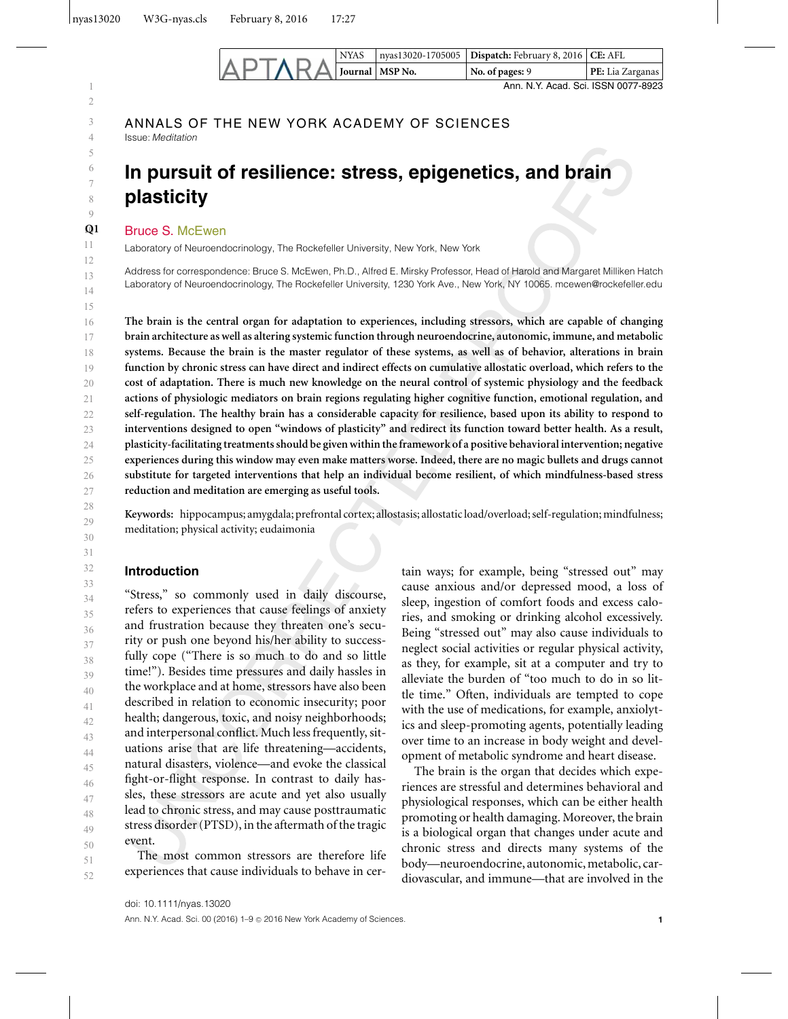|  | <b>NYAS</b> |                   | nyas13020-1705005   Dispatch: February 8, 2016   CE: AFL                        |                         |
|--|-------------|-------------------|---------------------------------------------------------------------------------|-------------------------|
|  |             | Journal   MSP No. | No. of pages: 9                                                                 | <b>PE:</b> Lia Zarganas |
|  |             |                   | $A_{\text{max}}$ , N.V. $A_{\text{total}}$ , $A_{\text{min}}$ , ICON 0077, 0000 |                         |

Ann. N.Y. Acad. Sci. ISSN 0077-8923

## ANNALS OF THE NEW YORK ACADEMY OF SCIENCES

Issue: *Meditation*

# **In pursuit of resilience: stress, epigenetics, and brain plasticity**

**Q1** Bruce S. McEwen

Laboratory of Neuroendocrinology, The Rockefeller University, New York, New York

Address for correspondence: Bruce S. McEwen, Ph.D., Alfred E. Mirsky Professor, Head of Harold and Margaret Milliken Hatch Laboratory of Neuroendocrinology, The Rockefeller University, 1230 York Ave., New York, NY 10065. mcewen@rockefeller.edu

**The brain is the central organ for adaptation to experiences, including stressors, which are capable of changing brain architecture as well as altering systemic function through neuroendocrine, autonomic, immune, and metabolic systems. Because the brain is the master regulator of these systems, as well as of behavior, alterations in brain function by chronic stress can have direct and indirect effects on cumulative allostatic overload, which refers to the cost of adaptation. There is much new knowledge on the neural control of systemic physiology and the feedback actions of physiologic mediators on brain regions regulating higher cognitive function, emotional regulation, and self-regulation. The healthy brain has a considerable capacity for resilience, based upon its ability to respond to interventions designed to open "windows of plasticity" and redirect its function toward better health. As a result, plasticity-facilitating treatments should be given within the framework of a positive behavioral intervention; negative experiences during this window may even make matters worse. Indeed, there are no magic bullets and drugs cannot substitute for targeted interventions that help an individual become resilient, of which mindfulness-based stress reduction and meditation are emerging as useful tools.**

Keywords: hippocampus; amygdala; prefrontal cortex; allostasis; allostatic load/overload; self-regulation; mindfulness; meditation; physical activity; eudaimonia

#### **Introduction**

33 34 35 36 37 38 39 40 41 42 43 44 45 46 47 48 49 50 "Stress," so commonly used in daily discourse, refers to experiences that cause feelings of anxiety and frustration because they threaten one's security or push one beyond his/her ability to successfully cope ("There is so much to do and so little time!"). Besides time pressures and daily hassles in the workplace and at home, stressors have also been described in relation to economic insecurity; poor health; dangerous, toxic, and noisy neighborhoods; and interpersonal conflict. Much less frequently, situations arise that are life threatening—accidents, natural disasters, violence—and evoke the classical fight-or-flight response. In contrast to daily hassles, these stressors are acute and yet also usually lead to chronic stress, and may cause posttraumatic stress disorder (PTSD), in the aftermath of the tragic event.

The most common stressors are therefore life experiences that cause individuals to behave in certain ways; for example, being "stressed out" may cause anxious and/or depressed mood, a loss of sleep, ingestion of comfort foods and excess calories, and smoking or drinking alcohol excessively. Being "stressed out" may also cause individuals to neglect social activities or regular physical activity, as they, for example, sit at a computer and try to alleviate the burden of "too much to do in so little time." Often, individuals are tempted to cope with the use of medications, for example, anxiolytics and sleep-promoting agents, potentially leading over time to an increase in body weight and development of metabolic syndrome and heart disease.

The brain is the organ that decides which experiences are stressful and determines behavioral and physiological responses, which can be either health promoting or health damaging. Moreover, the brain is a biological organ that changes under acute and chronic stress and directs many systems of the body—neuroendocrine, autonomic, metabolic, cardiovascular, and immune—that are involved in the

51 52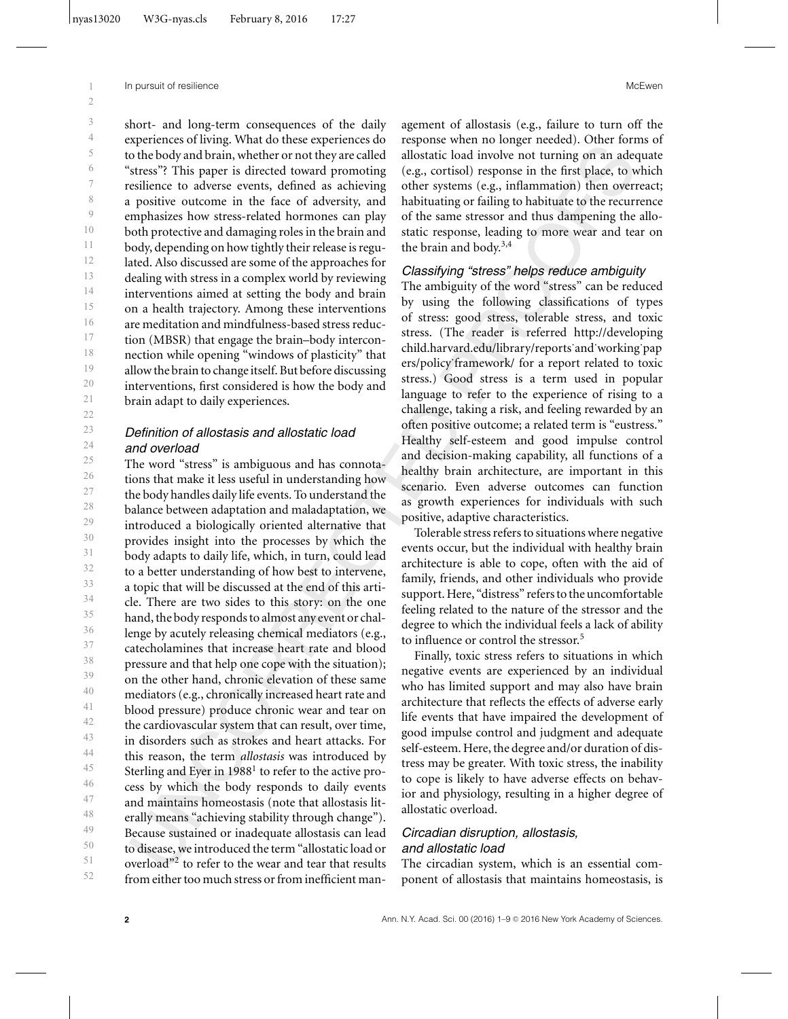In pursuit of resilience McEwen McEwen McEwen McEwen McEwen McEwen McEwen McEwen McEwen McEwen McEwen McEwen Mc

1 2

3 4 5 6 7 8 9 10 11 12 13 14 15 16 17 18 19 20 21 22 short- and long-term consequences of the daily experiences of living. What do these experiences do to the body and brain, whether or not they are called "stress"? This paper is directed toward promoting resilience to adverse events, defined as achieving a positive outcome in the face of adversity, and emphasizes how stress-related hormones can play both protective and damaging roles in the brain and body, depending on how tightly their release is regulated. Also discussed are some of the approaches for dealing with stress in a complex world by reviewing interventions aimed at setting the body and brain on a health trajectory. Among these interventions are meditation and mindfulness-based stress reduction (MBSR) that engage the brain–body interconnection while opening "windows of plasticity" that allow the brain to change itself. But before discussing interventions, first considered is how the body and brain adapt to daily experiences.

#### 23 24 *Definition of allostasis and allostatic load and overload*

25 26 27 28 29 30 31 32 33 34 35 36 37 38 39 40 41 42 43 44 45 46 47 48 49 50 51 52 The word "stress" is ambiguous and has connotations that make it less useful in understanding how the body handles daily life events. To understand the balance between adaptation and maladaptation, we introduced a biologically oriented alternative that provides insight into the processes by which the body adapts to daily life, which, in turn, could lead to a better understanding of how best to intervene, a topic that will be discussed at the end of this article. There are two sides to this story: on the one hand, the body responds to almost any event or challenge by acutely releasing chemical mediators (e.g., catecholamines that increase heart rate and blood pressure and that help one cope with the situation); on the other hand, chronic elevation of these same mediators (e.g., chronically increased heart rate and blood pressure) produce chronic wear and tear on the cardiovascular system that can result, over time, in disorders such as strokes and heart attacks. For this reason, the term *allostasis* was introduced by Sterling and Eyer in  $1988<sup>1</sup>$  to refer to the active process by which the body responds to daily events and maintains homeostasis (note that allostasis literally means "achieving stability through change"). Because sustained or inadequate allostasis can lead to disease, we introduced the term "allostatic load or overload"<sup>2</sup> to refer to the wear and tear that results from either too much stress or from inefficient man-

agement of allostasis (e.g., failure to turn off the response when no longer needed). Other forms of allostatic load involve not turning on an adequate (e.g., cortisol) response in the first place, to which other systems (e.g., inflammation) then overreact; habituating or failing to habituate to the recurrence of the same stressor and thus dampening the allostatic response, leading to more wear and tear on the brain and body. $3,4$ 

#### *Classifying "stress" helps reduce ambiguity*

The ambiguity of the word "stress" can be reduced by using the following classifications of types of stress: good stress, tolerable stress, and toxic stress. (The reader is referred http://developing child.harvard.edu/library/reports˙and˙working˙pap ers/policy˙framework/ for a report related to toxic stress.) Good stress is a term used in popular language to refer to the experience of rising to a challenge, taking a risk, and feeling rewarded by an often positive outcome; a related term is "eustress." Healthy self-esteem and good impulse control and decision-making capability, all functions of a healthy brain architecture, are important in this scenario. Even adverse outcomes can function as growth experiences for individuals with such positive, adaptive characteristics.

Tolerable stress refers to situations where negative events occur, but the individual with healthy brain architecture is able to cope, often with the aid of family, friends, and other individuals who provide support. Here, "distress" refers to the uncomfortable feeling related to the nature of the stressor and the degree to which the individual feels a lack of ability to influence or control the stressor.<sup>5</sup>

Finally, toxic stress refers to situations in which negative events are experienced by an individual who has limited support and may also have brain architecture that reflects the effects of adverse early life events that have impaired the development of good impulse control and judgment and adequate self-esteem. Here, the degree and/or duration of distress may be greater. With toxic stress, the inability to cope is likely to have adverse effects on behavior and physiology, resulting in a higher degree of allostatic overload.

### *Circadian disruption, allostasis, and allostatic load*

The circadian system, which is an essential component of allostasis that maintains homeostasis, is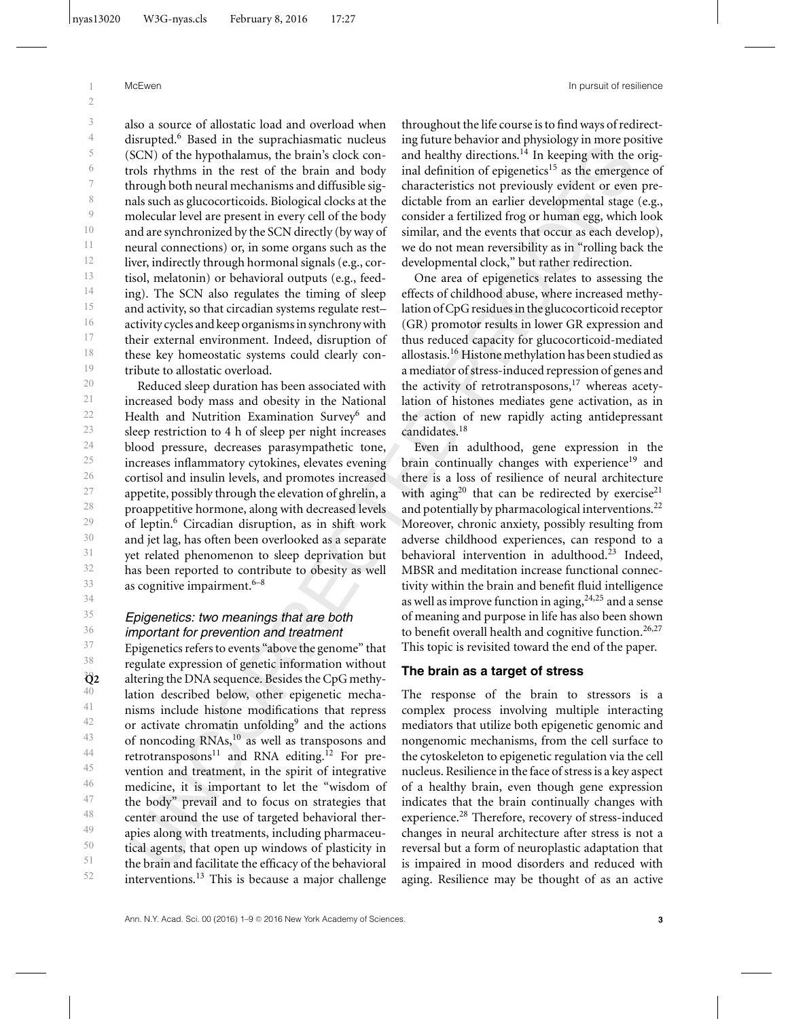1 2

3 4 5 6 7 8 9 10 11 12 13 14 15 16 17 18 19 also a source of allostatic load and overload when disrupted.6 Based in the suprachiasmatic nucleus (SCN) of the hypothalamus, the brain's clock controls rhythms in the rest of the brain and body through both neural mechanisms and diffusible signals such as glucocorticoids. Biological clocks at the molecular level are present in every cell of the body and are synchronized by the SCN directly (by way of neural connections) or, in some organs such as the liver, indirectly through hormonal signals (e.g., cortisol, melatonin) or behavioral outputs (e.g., feeding). The SCN also regulates the timing of sleep and activity, so that circadian systems regulate rest– activity cycles and keep organisms in synchrony with their external environment. Indeed, disruption of these key homeostatic systems could clearly contribute to allostatic overload.

20 21 22 23 24 25 26 27 28 29 30 31 32 33 Reduced sleep duration has been associated with increased body mass and obesity in the National Health and Nutrition Examination Survey<sup>6</sup> and sleep restriction to 4 h of sleep per night increases blood pressure, decreases parasympathetic tone, increases inflammatory cytokines, elevates evening cortisol and insulin levels, and promotes increased appetite, possibly through the elevation of ghrelin, a proappetitive hormone, along with decreased levels of leptin.<sup>6</sup> Circadian disruption, as in shift work and jet lag, has often been overlooked as a separate yet related phenomenon to sleep deprivation but has been reported to contribute to obesity as well as cognitive impairment.<sup>6-8</sup>

34

#### 35 36 *Epigenetics: two meanings that are both important for prevention and treatment*

37 38  $\partial$ <sub>2</sub> 40 41 42 43 44 45 46 47 48 49 50 51 52 Epigenetics refers to events "above the genome" that regulate expression of genetic information without altering the DNA sequence. Besides the CpG methylation described below, other epigenetic mechanisms include histone modifications that repress or activate chromatin unfolding<sup>9</sup> and the actions of noncoding RNAs,<sup>10</sup> as well as transposons and retrotransposons<sup>11</sup> and RNA editing.<sup>12</sup> For prevention and treatment, in the spirit of integrative medicine, it is important to let the "wisdom of the body" prevail and to focus on strategies that center around the use of targeted behavioral therapies along with treatments, including pharmaceutical agents, that open up windows of plasticity in the brain and facilitate the efficacy of the behavioral interventions.<sup>13</sup> This is because a major challenge

McEwen **In pursuit of resilience In pursuit of resilience In pursuit of resilience** 

throughout the life course is to find ways of redirecting future behavior and physiology in more positive and healthy directions. $14$  In keeping with the original definition of epigenetics<sup>15</sup> as the emergence of characteristics not previously evident or even predictable from an earlier developmental stage (e.g., consider a fertilized frog or human egg, which look similar, and the events that occur as each develop), we do not mean reversibility as in "rolling back the developmental clock," but rather redirection.

One area of epigenetics relates to assessing the effects of childhood abuse, where increased methylation of CpG residues in the glucocorticoid receptor (GR) promotor results in lower GR expression and thus reduced capacity for glucocorticoid-mediated allostasis.<sup>16</sup> Histone methylation has been studied as a mediator of stress-induced repression of genes and the activity of retrotransposons, $17$  whereas acetylation of histones mediates gene activation, as in the action of new rapidly acting antidepressant candidates.<sup>18</sup>

Even in adulthood, gene expression in the brain continually changes with experience<sup>19</sup> and there is a loss of resilience of neural architecture with aging<sup>20</sup> that can be redirected by exercise<sup>21</sup> and potentially by pharmacological interventions.<sup>22</sup> Moreover, chronic anxiety, possibly resulting from adverse childhood experiences, can respond to a behavioral intervention in adulthood.<sup>23</sup> Indeed, MBSR and meditation increase functional connectivity within the brain and benefit fluid intelligence as well as improve function in aging,  $24,25$  and a sense of meaning and purpose in life has also been shown to benefit overall health and cognitive function.<sup>26,27</sup> This topic is revisited toward the end of the paper.

### **The brain as a target of stress**

The response of the brain to stressors is a complex process involving multiple interacting mediators that utilize both epigenetic genomic and nongenomic mechanisms, from the cell surface to the cytoskeleton to epigenetic regulation via the cell nucleus. Resilience in the face of stress is a key aspect of a healthy brain, even though gene expression indicates that the brain continually changes with experience.<sup>28</sup> Therefore, recovery of stress-induced changes in neural architecture after stress is not a reversal but a form of neuroplastic adaptation that is impaired in mood disorders and reduced with aging. Resilience may be thought of as an active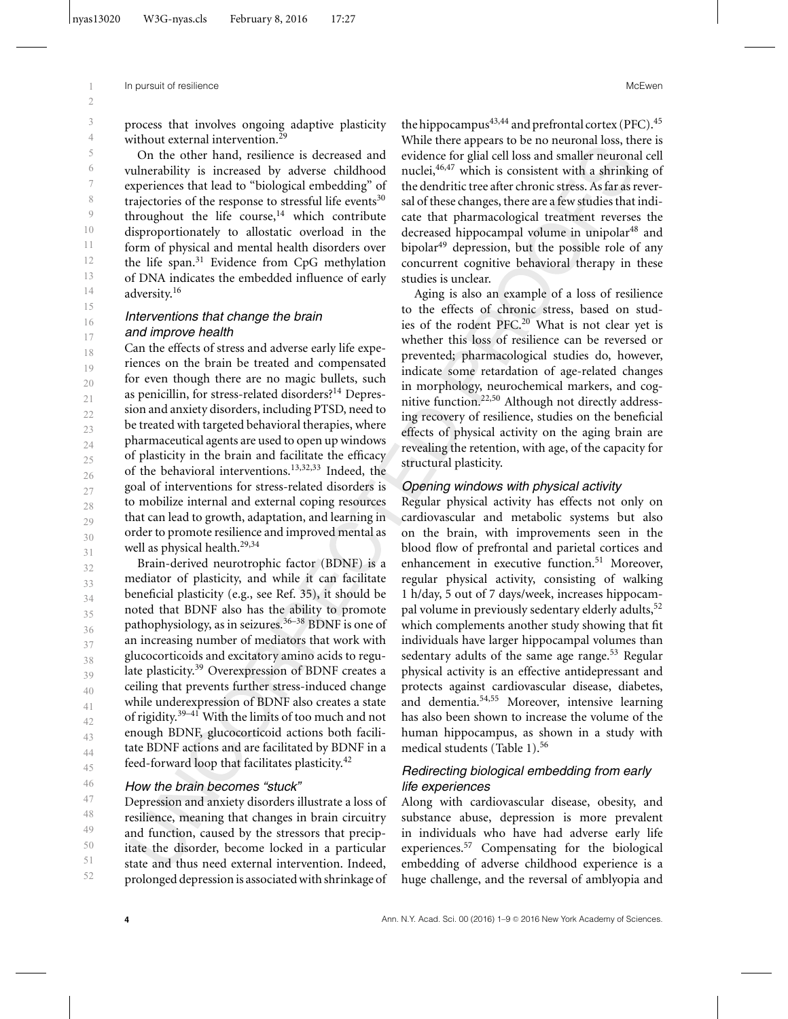In pursuit of resilience McEwen McEwen McEwen McEwen McEwen McEwen McEwen McEwen McEwen McEwen McEwen McCEwen

1 2

15

3 4 process that involves ongoing adaptive plasticity without external intervention.<sup>29</sup>

5 6 7 8 9 10 11 12 13 14 On the other hand, resilience is decreased and vulnerability is increased by adverse childhood experiences that lead to "biological embedding" of trajectories of the response to stressful life events $30$ throughout the life course, $14$  which contribute disproportionately to allostatic overload in the form of physical and mental health disorders over the life span.<sup>31</sup> Evidence from CpG methylation of DNA indicates the embedded influence of early adversity.16

#### 16 17 *Interventions that change the brain and improve health*

18 19 20 21 22 23 24 25 26 27 28 29 30 31 Can the effects of stress and adverse early life experiences on the brain be treated and compensated for even though there are no magic bullets, such as penicillin, for stress-related disorders?<sup>14</sup> Depression and anxiety disorders, including PTSD, need to be treated with targeted behavioral therapies, where pharmaceutical agents are used to open up windows of plasticity in the brain and facilitate the efficacy of the behavioral interventions.13,32,33 Indeed, the goal of interventions for stress-related disorders is to mobilize internal and external coping resources that can lead to growth, adaptation, and learning in order to promote resilience and improved mental as well as physical health.<sup>29,34</sup>

32 33 34 35 36 37 38 39  $40$ 41 42 43 44 45 Brain-derived neurotrophic factor (BDNF) is a mediator of plasticity, and while it can facilitate beneficial plasticity (e.g., see Ref. 35), it should be noted that BDNF also has the ability to promote pathophysiology, as in seizures.<sup>36-38</sup> BDNF is one of an increasing number of mediators that work with glucocorticoids and excitatory amino acids to regulate plasticity.39 Overexpression of BDNF creates a ceiling that prevents further stress-induced change while underexpression of BDNF also creates a state of rigidity.39–41 With the limits of too much and not enough BDNF, glucocorticoid actions both facilitate BDNF actions and are facilitated by BDNF in a feed-forward loop that facilitates plasticity.<sup>42</sup>

#### 46 *How the brain becomes "stuck"*

47 48 49 50 51 52 Depression and anxiety disorders illustrate a loss of resilience, meaning that changes in brain circuitry and function, caused by the stressors that precipitate the disorder, become locked in a particular state and thus need external intervention. Indeed, prolonged depression is associated with shrinkage of

the hippocampus<sup>43,44</sup> and prefrontal cortex (PFC).<sup>45</sup> While there appears to be no neuronal loss, there is evidence for glial cell loss and smaller neuronal cell nuclei,46,47 which is consistent with a shrinking of the dendritic tree after chronic stress. As far as reversal of these changes, there are a few studies that indicate that pharmacological treatment reverses the decreased hippocampal volume in unipolar<sup>48</sup> and bipolar $49$  depression, but the possible role of any concurrent cognitive behavioral therapy in these studies is unclear.

Aging is also an example of a loss of resilience to the effects of chronic stress, based on studies of the rodent PFC.<sup>20</sup> What is not clear yet is whether this loss of resilience can be reversed or prevented; pharmacological studies do, however, indicate some retardation of age-related changes in morphology, neurochemical markers, and cognitive function.<sup>22,50</sup> Although not directly addressing recovery of resilience, studies on the beneficial effects of physical activity on the aging brain are revealing the retention, with age, of the capacity for structural plasticity.

### *Opening windows with physical activity*

Regular physical activity has effects not only on cardiovascular and metabolic systems but also on the brain, with improvements seen in the blood flow of prefrontal and parietal cortices and enhancement in executive function.<sup>51</sup> Moreover, regular physical activity, consisting of walking 1 h/day, 5 out of 7 days/week, increases hippocampal volume in previously sedentary elderly adults,<sup>52</sup> which complements another study showing that fit individuals have larger hippocampal volumes than sedentary adults of the same age range.<sup>53</sup> Regular physical activity is an effective antidepressant and protects against cardiovascular disease, diabetes, and dementia.54,55 Moreover, intensive learning has also been shown to increase the volume of the human hippocampus, as shown in a study with medical students (Table 1).<sup>56</sup>

## *Redirecting biological embedding from early life experiences*

Along with cardiovascular disease, obesity, and substance abuse, depression is more prevalent in individuals who have had adverse early life experiences.<sup>57</sup> Compensating for the biological embedding of adverse childhood experience is a huge challenge, and the reversal of amblyopia and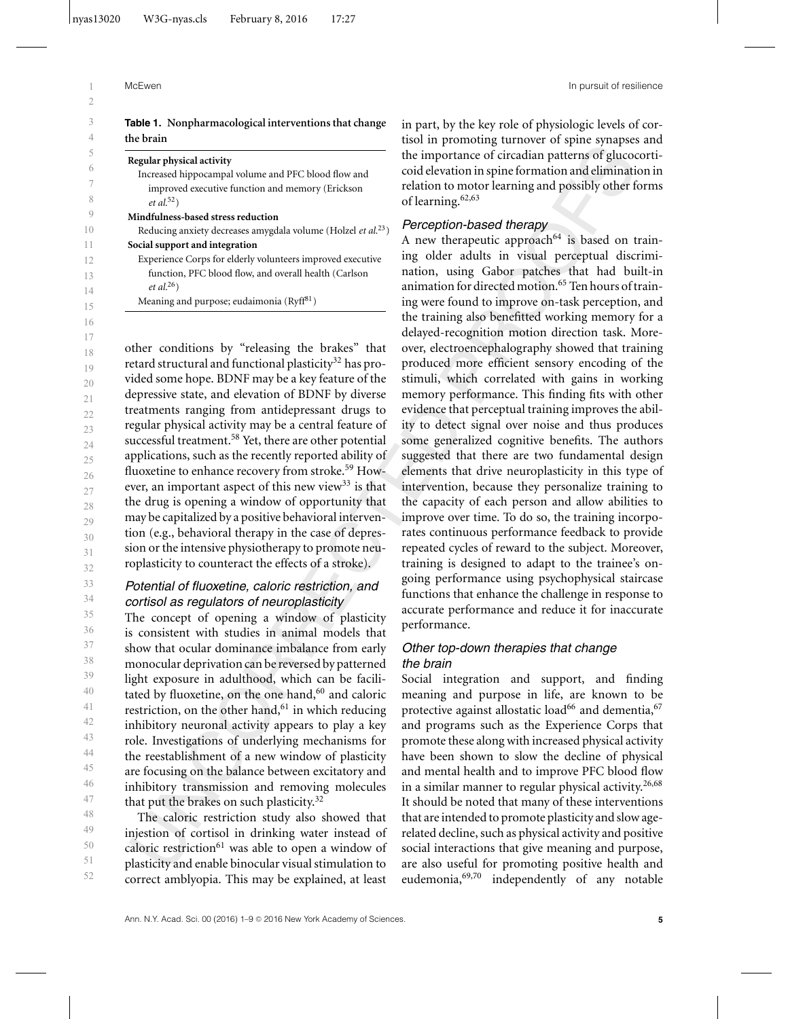|  | McEwe |
|--|-------|
|  |       |

| Regular physical activity                                                              |
|----------------------------------------------------------------------------------------|
| Increased hippocampal volume and PFC blood flow and                                    |
| improved executive function and memory (Erickson<br><i>et al.</i> <sup>52</sup> )      |
| Mindfulness-based stress reduction                                                     |
| Reducing anxiety decreases amygdala volume (Holzel et al. <sup>23</sup> )              |
| Social support and integration                                                         |
| Experience Corps for elderly volunteers improved executive                             |
| function, PFC blood flow, and overall health (Carlson<br><i>et al.</i> <sup>26</sup> ) |
| Meaning and purpose; eudaimonia (Ryff <sup>81</sup> )                                  |

15 16

> 17 18 19 20 21 22 23 24 25 26 27 28 29 30 31 32 other conditions by "releasing the brakes" that retard structural and functional plasticity<sup>32</sup> has provided some hope. BDNF may be a key feature of the depressive state, and elevation of BDNF by diverse treatments ranging from antidepressant drugs to regular physical activity may be a central feature of successful treatment.58 Yet, there are other potential applications, such as the recently reported ability of fluoxetine to enhance recovery from stroke.<sup>59</sup> However, an important aspect of this new view<sup>33</sup> is that the drug is opening a window of opportunity that may be capitalized by a positive behavioral intervention (e.g., behavioral therapy in the case of depression or the intensive physiotherapy to promote neuroplasticity to counteract the effects of a stroke).

#### 33 34 *Potential of fluoxetine, caloric restriction, and cortisol as regulators of neuroplasticity*

35 36 37 38 39 40 41 42 43 44 45 46 47 The concept of opening a window of plasticity is consistent with studies in animal models that show that ocular dominance imbalance from early monocular deprivation can be reversed by patterned light exposure in adulthood, which can be facilitated by fluoxetine, on the one hand,<sup>60</sup> and caloric restriction, on the other hand, $61$  in which reducing inhibitory neuronal activity appears to play a key role. Investigations of underlying mechanisms for the reestablishment of a new window of plasticity are focusing on the balance between excitatory and inhibitory transmission and removing molecules that put the brakes on such plasticity.<sup>32</sup>

48 49 50 51 52 The caloric restriction study also showed that injestion of cortisol in drinking water instead of caloric restriction $61$  was able to open a window of plasticity and enable binocular visual stimulation to correct amblyopia. This may be explained, at least

in part, by the key role of physiologic levels of cortisol in promoting turnover of spine synapses and the importance of circadian patterns of glucocorticoid elevation in spine formation and elimination in relation to motor learning and possibly other forms of learning.<sup>62,63</sup>

#### *Perception-based therapy*

A new therapeutic approach $^{64}$  is based on training older adults in visual perceptual discrimination, using Gabor patches that had built-in animation for directed motion.<sup>65</sup> Ten hours of training were found to improve on-task perception, and the training also benefitted working memory for a delayed-recognition motion direction task. Moreover, electroencephalography showed that training produced more efficient sensory encoding of the stimuli, which correlated with gains in working memory performance. This finding fits with other evidence that perceptual training improves the ability to detect signal over noise and thus produces some generalized cognitive benefits. The authors suggested that there are two fundamental design elements that drive neuroplasticity in this type of intervention, because they personalize training to the capacity of each person and allow abilities to improve over time. To do so, the training incorporates continuous performance feedback to provide repeated cycles of reward to the subject. Moreover, training is designed to adapt to the trainee's ongoing performance using psychophysical staircase functions that enhance the challenge in response to accurate performance and reduce it for inaccurate performance.

### *Other top-down therapies that change the brain*

Social integration and support, and finding meaning and purpose in life, are known to be protective against allostatic load<sup>66</sup> and dementia,  $67$ and programs such as the Experience Corps that promote these along with increased physical activity have been shown to slow the decline of physical and mental health and to improve PFC blood flow in a similar manner to regular physical activity.<sup>26,68</sup> It should be noted that many of these interventions that are intended to promote plasticity and slow agerelated decline, such as physical activity and positive social interactions that give meaning and purpose, are also useful for promoting positive health and eudemonia,69,70 independently of any notable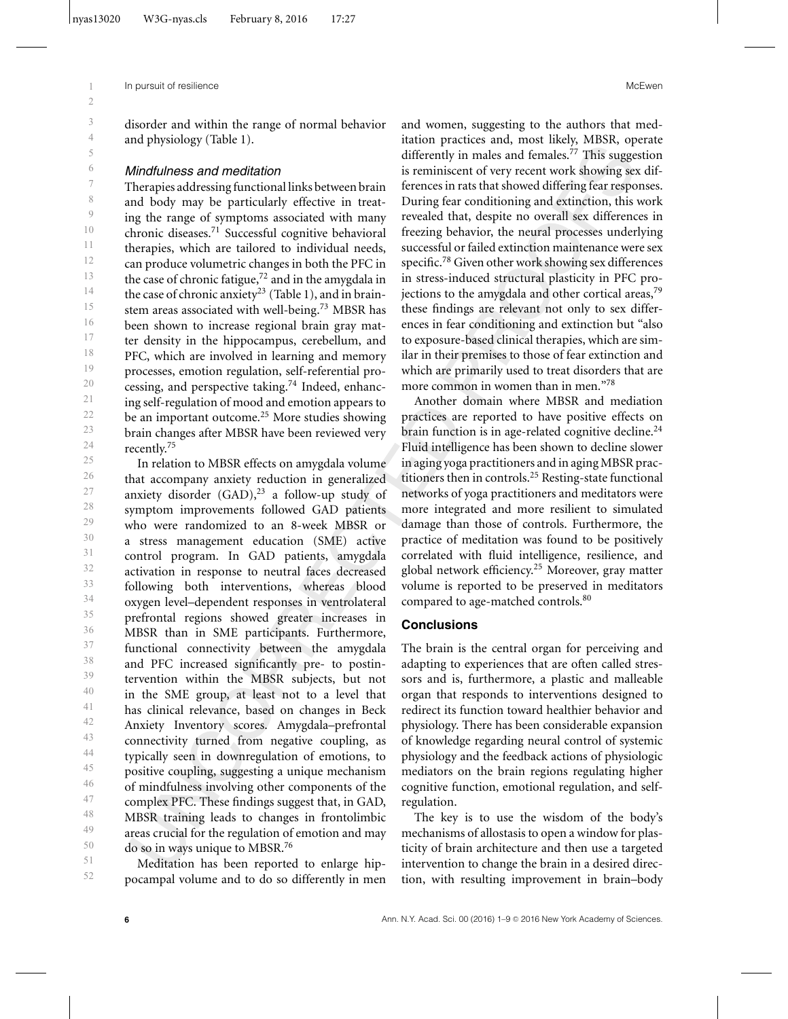In pursuit of resilience McEwen McEwen McEwen McEwen McEwen McEwen McEwen McEwen McEwen McEwen McEwen McCEwen

disorder and within the range of normal behavior and physiology (Table 1).

*Mindfulness and meditation*

7 8 9 10 11 12 13 14 15 16 17 18 19 20 21 22 23 24 Therapies addressing functional links between brain and body may be particularly effective in treating the range of symptoms associated with many chronic diseases.<sup>71</sup> Successful cognitive behavioral therapies, which are tailored to individual needs, can produce volumetric changes in both the PFC in the case of chronic fatigue, $72$  and in the amygdala in the case of chronic anxiety<sup>23</sup> (Table 1), and in brainstem areas associated with well-being.<sup>73</sup> MBSR has been shown to increase regional brain gray matter density in the hippocampus, cerebellum, and PFC, which are involved in learning and memory processes, emotion regulation, self-referential processing, and perspective taking.74 Indeed, enhancing self-regulation of mood and emotion appears to be an important outcome.25 More studies showing brain changes after MBSR have been reviewed very recently.<sup>75</sup>

25 26 27 28 29 30 31 32 33 34 35 36 37 38 39 40 41 42 43 44 45 46 47 48 49 50 In relation to MBSR effects on amygdala volume that accompany anxiety reduction in generalized anxiety disorder  $(GAD),^{23}$  a follow-up study of symptom improvements followed GAD patients who were randomized to an 8-week MBSR or a stress management education (SME) active control program. In GAD patients, amygdala activation in response to neutral faces decreased following both interventions, whereas blood oxygen level–dependent responses in ventrolateral prefrontal regions showed greater increases in MBSR than in SME participants. Furthermore, functional connectivity between the amygdala and PFC increased significantly pre- to postintervention within the MBSR subjects, but not in the SME group, at least not to a level that has clinical relevance, based on changes in Beck Anxiety Inventory scores. Amygdala–prefrontal connectivity turned from negative coupling, as typically seen in downregulation of emotions, to positive coupling, suggesting a unique mechanism of mindfulness involving other components of the complex PFC. These findings suggest that, in GAD, MBSR training leads to changes in frontolimbic areas crucial for the regulation of emotion and may do so in ways unique to MBSR.76

51 52 Meditation has been reported to enlarge hippocampal volume and to do so differently in men

and women, suggesting to the authors that meditation practices and, most likely, MBSR, operate differently in males and females.<sup>77</sup> This suggestion is reminiscent of very recent work showing sex differences in rats that showed differing fear responses. During fear conditioning and extinction, this work revealed that, despite no overall sex differences in freezing behavior, the neural processes underlying successful or failed extinction maintenance were sex specific.<sup>78</sup> Given other work showing sex differences in stress-induced structural plasticity in PFC projections to the amygdala and other cortical areas, $79$ these findings are relevant not only to sex differences in fear conditioning and extinction but "also to exposure-based clinical therapies, which are similar in their premises to those of fear extinction and which are primarily used to treat disorders that are more common in women than in men."78

Another domain where MBSR and mediation practices are reported to have positive effects on brain function is in age-related cognitive decline.<sup>24</sup> Fluid intelligence has been shown to decline slower in aging yoga practitioners and in aging MBSR practitioners then in controls.<sup>25</sup> Resting-state functional networks of yoga practitioners and meditators were more integrated and more resilient to simulated damage than those of controls. Furthermore, the practice of meditation was found to be positively correlated with fluid intelligence, resilience, and global network efficiency.<sup>25</sup> Moreover, gray matter volume is reported to be preserved in meditators compared to age-matched controls.<sup>80</sup>

#### **Conclusions**

The brain is the central organ for perceiving and adapting to experiences that are often called stressors and is, furthermore, a plastic and malleable organ that responds to interventions designed to redirect its function toward healthier behavior and physiology. There has been considerable expansion of knowledge regarding neural control of systemic physiology and the feedback actions of physiologic mediators on the brain regions regulating higher cognitive function, emotional regulation, and selfregulation.

The key is to use the wisdom of the body's mechanisms of allostasis to open a window for plasticity of brain architecture and then use a targeted intervention to change the brain in a desired direction, with resulting improvement in brain–body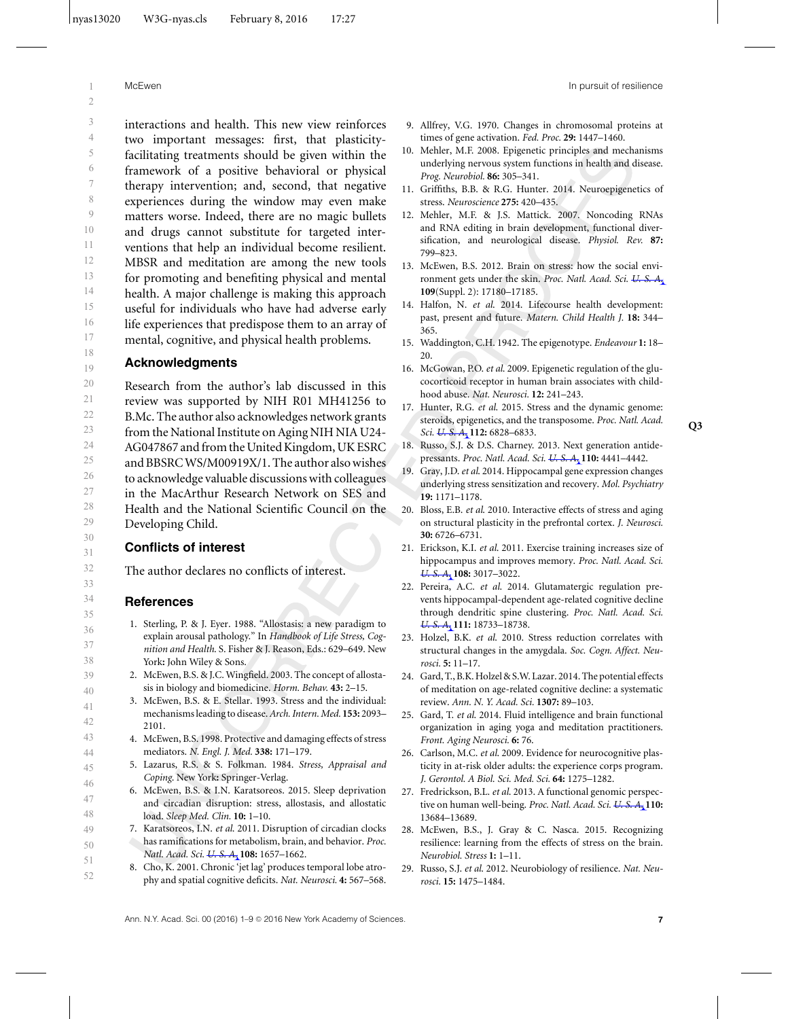1 2

19

McEwen **In pursuit of resilience In pursuit of resilience In pursuit of resilience** 

3 4 5 6 7 8 9 10 11 12 13 14 15 16 17 18 interactions and health. This new view reinforces two important messages: first, that plasticityfacilitating treatments should be given within the framework of a positive behavioral or physical therapy intervention; and, second, that negative experiences during the window may even make matters worse. Indeed, there are no magic bullets and drugs cannot substitute for targeted interventions that help an individual become resilient. MBSR and meditation are among the new tools for promoting and benefiting physical and mental health. A major challenge is making this approach useful for individuals who have had adverse early life experiences that predispose them to an array of mental, cognitive, and physical health problems.

#### **Acknowledgments**

20 21 22 23 24 25 26 27 28 29 30 Research from the author's lab discussed in this review was supported by NIH R01 MH41256 to B.Mc. The author also acknowledges network grants from the National Institute on Aging NIH NIA U24- AG047867 andfrom the United Kingdom, UK ESRC and BBSRCWS/M00919X/1. The author also wishes to acknowledge valuable discussions with colleagues in the MacArthur Research Network on SES and Health and the National Scientific Council on the Developing Child.

#### **Conflicts of interest**

The author declares no conflicts of interest.

#### **References**

- 1. Sterling, P. & J. Eyer. 1988. "Allostasis: a new paradigm to explain arousal pathology." In *Handbook of Life Stress, Cognition and Health*. S. Fisher & J. Reason, Eds.: 629–649. New York**:** John Wiley & Sons.
- 2. McEwen, B.S. & J.C. Wingfield. 2003. The concept of allostasis in biology and biomedicine. *Horm. Behav.* **43:** 2–15.
- 3. McEwen, B.S. & E. Stellar. 1993. Stress and the individual: mechanisms leading to disease.*Arch. Intern.Med.* **153:** 2093– 2101.
- 4. McEwen, B.S. 1998. Protective and damaging effects of stress mediators. *N. Engl. J. Med.* **338:** 171–179.
- 5. Lazarus, R.S. & S. Folkman. 1984. *Stress, Appraisal and Coping*. New York**:** Springer-Verlag.
- 6. McEwen, B.S. & I.N. Karatsoreos. 2015. Sleep deprivation and circadian disruption: stress, allostasis, and allostatic load. *Sleep Med. Clin.* **10:** 1–10.
- 7. Karatsoreos, I.N. *et al*. 2011. Disruption of circadian clocks has ramifications for metabolism, brain, and behavior. *Proc. Natl. Acad. Sci. U. S. A.* **108:** 1657–1662.
- 51 52 8. Cho, K. 2001. Chronic 'jet lag' produces temporal lobe atrophy and spatial cognitive deficits. *Nat. Neurosci.* **4:** 567–568.
- 9. Allfrey, V.G. 1970. Changes in chromosomal proteins at times of gene activation. *Fed. Proc.* **29:** 1447–1460.
- 10. Mehler, M.F. 2008. Epigenetic principles and mechanisms underlying nervous system functions in health and disease. *Prog. Neurobiol.* **86:** 305–341.
- 11. Griffiths, B.B. & R.G. Hunter. 2014. Neuroepigenetics of stress. *Neuroscience* **275:** 420–435.
- 12. Mehler, M.F. & J.S. Mattick. 2007. Noncoding RNAs and RNA editing in brain development, functional diversification, and neurological disease. *Physiol. Rev.* **87:** 799–823.
- 13. McEwen, B.S. 2012. Brain on stress: how the social environment gets under the skin. *Proc. Natl. Acad. Sci. U. S. A.* **109**(Suppl. 2): 17180–17185.
- 14. Halfon, N. *et al*. 2014. Lifecourse health development: past, present and future. *Matern. Child Health J.* **18:** 344– 365.
- 15. Waddington, C.H. 1942. The epigenotype. *Endeavour* **1:** 18– 20.
- 16. McGowan, P.O. *et al*. 2009. Epigenetic regulation of the glucocorticoid receptor in human brain associates with childhood abuse. *Nat. Neurosci.* **12:** 241–243.
- 17. Hunter, R.G. *et al*. 2015. Stress and the dynamic genome: steroids, epigenetics, and the transposome. *Proc. Natl. Acad. Sci. U. S. A*<sub>2</sub> **112:** 6828–6833. **Q3**<br>*Sci. U. S. A*<sub>2</sub> **112:** 6828–6833.
- 18. Russo, S.J. & D.S. Charney. 2013. Next generation antidepressants. *Proc. Natl. Acad. Sci. U. S. A.* **110:** 4441–4442.
- 19. Gray, J.D.*et al*. 2014. Hippocampal gene expression changes underlying stress sensitization and recovery. *Mol. Psychiatry* **19:** 1171–1178.
- 20. Bloss, E.B. *et al*. 2010. Interactive effects of stress and aging on structural plasticity in the prefrontal cortex. *J. Neurosci.* **30:** 6726–6731.
- 21. Erickson, K.I. *et al*. 2011. Exercise training increases size of hippocampus and improves memory. *Proc. Natl. Acad. Sci. U. S. A.* **108:** 3017–3022.
- 22. Pereira, A.C. *et al*. 2014. Glutamatergic regulation prevents hippocampal-dependent age-related cognitive decline through dendritic spine clustering. *Proc. Natl. Acad. Sci. U. S. A.* **111:** 18733–18738.
- 23. Holzel, B.K. *et al*. 2010. Stress reduction correlates with structural changes in the amygdala. *Soc. Cogn. Affect. Neurosci.* **5:** 11–17.
- 24. Gard, T., B.K. Holzel & S.W. Lazar. 2014. The potential effects of meditation on age-related cognitive decline: a systematic review. *Ann. N. Y. Acad. Sci.* **1307:** 89–103.
- 25. Gard, T. *et al*. 2014. Fluid intelligence and brain functional organization in aging yoga and meditation practitioners. *Front. Aging Neurosci.* **6:** 76.
- 26. Carlson, M.C. *et al*. 2009. Evidence for neurocognitive plasticity in at-risk older adults: the experience corps program. *J. Gerontol. A Biol. Sci. Med. Sci.* **64:** 1275–1282.
- 27. Fredrickson, B.L. *et al*. 2013. A functional genomic perspective on human well-being. *Proc. Natl. Acad. Sci. U. S. A.* **110:** 13684–13689.
- 28. McEwen, B.S., J. Gray & C. Nasca. 2015. Recognizing resilience: learning from the effects of stress on the brain. *Neurobiol. Stress* **1:** 1–11.
- 29. Russo, S.J. *et al*. 2012. Neurobiology of resilience. *Nat. Neurosci.* **15:** 1475–1484.

Ann. N.Y. Acad. Sci. 00 (2016) 1–9 © 2016 New York Academy of Sciences. **7**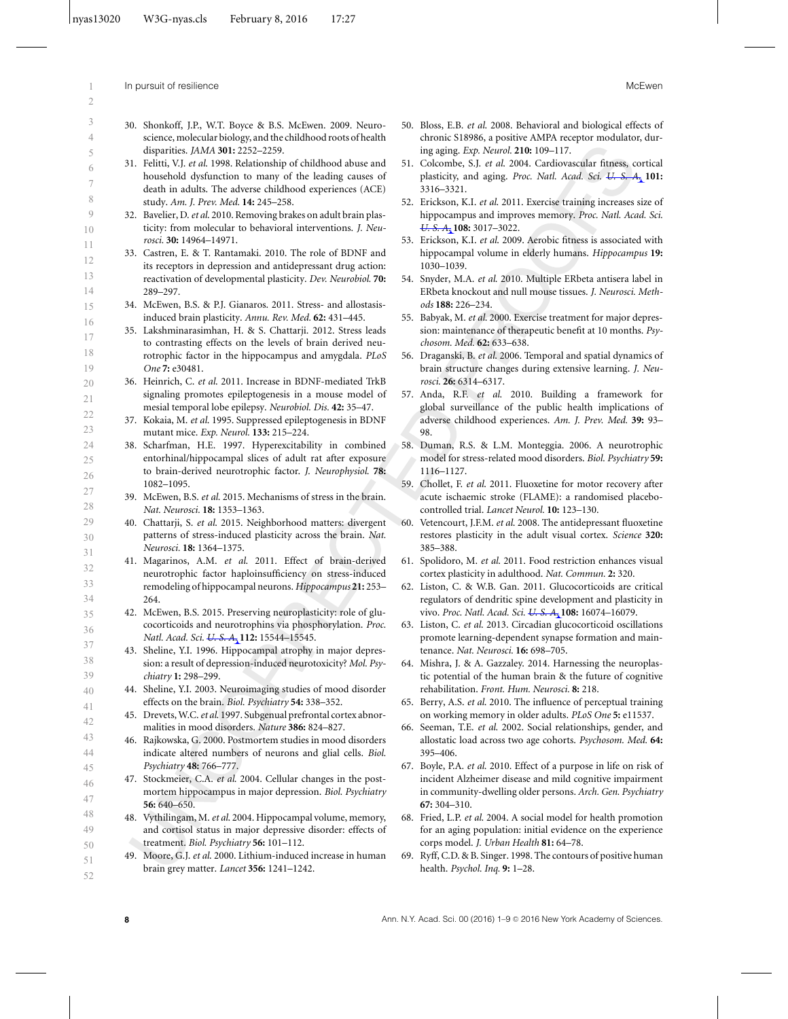| In pursuit of resilience | McLwen |
|--------------------------|--------|
|--------------------------|--------|

- 30. Shonkoff, J.P., W.T. Boyce & B.S. McEwen. 2009. Neuroscience, molecular biology, and the childhood roots of health disparities. *JAMA* **301:** 2252–2259.
- 31. Felitti, V.J. *et al*. 1998. Relationship of childhood abuse and household dysfunction to many of the leading causes of death in adults. The adverse childhood experiences (ACE) study. *Am. J. Prev. Med.* **14:** 245–258.
- 32. Bavelier, D.*et al*. 2010. Removing brakes on adult brain plasticity: from molecular to behavioral interventions. *J. Neurosci.* **30:** 14964–14971.
- 33. Castren, E. & T. Rantamaki. 2010. The role of BDNF and its receptors in depression and antidepressant drug action: reactivation of developmental plasticity. *Dev. Neurobiol.* **70:** 289–297.
- 34. McEwen, B.S. & P.J. Gianaros. 2011. Stress- and allostasisinduced brain plasticity. *Annu. Rev. Med.* **62:** 431–445.
- 35. Lakshminarasimhan, H. & S. Chattarji. 2012. Stress leads to contrasting effects on the levels of brain derived neurotrophic factor in the hippocampus and amygdala. *PLoS One* **7:** e30481.
- 36. Heinrich, C. *et al*. 2011. Increase in BDNF-mediated TrkB signaling promotes epileptogenesis in a mouse model of mesial temporal lobe epilepsy. *Neurobiol. Dis.* **42:** 35–47.
- 37. Kokaia, M. *et al*. 1995. Suppressed epileptogenesis in BDNF mutant mice. *Exp. Neurol.* **133:** 215–224.
- 38. Scharfman, H.E. 1997. Hyperexcitability in combined entorhinal/hippocampal slices of adult rat after exposure to brain-derived neurotrophic factor. *J. Neurophysiol.* **78:** 1082–1095.
- 39. McEwen, B.S. *et al*. 2015. Mechanisms of stress in the brain. *Nat. Neurosci.* **18:** 1353–1363.
- 40. Chattarji, S. *et al*. 2015. Neighborhood matters: divergent patterns of stress-induced plasticity across the brain. *Nat. Neurosci.* **18:** 1364–1375.
- 41. Magarinos, A.M. *et al*. 2011. Effect of brain-derived neurotrophic factor haploinsufficiency on stress-induced remodeling of hippocampal neurons. *Hippocampus* **21:** 253– 264.
- 42. McEwen, B.S. 2015. Preserving neuroplasticity: role of glucocorticoids and neurotrophins via phosphorylation. *Proc. Natl. Acad. Sci. U. S. A.* **112:** 15544–15545.
- 43. Sheline, Y.I. 1996. Hippocampal atrophy in major depression: a result of depression-induced neurotoxicity? *Mol. Psychiatry* **1:** 298–299.
- 44. Sheline, Y.I. 2003. Neuroimaging studies of mood disorder effects on the brain. *Biol. Psychiatry* **54:** 338–352.
- 45. Drevets,W.C.*et al*. 1997. Subgenual prefrontal cortex abnormalities in mood disorders. *Nature* **386:** 824–827.
- 46. Rajkowska, G. 2000. Postmortem studies in mood disorders indicate altered numbers of neurons and glial cells. *Biol. Psychiatry* **48:** 766–777.
	- 47. Stockmeier, C.A. *et al*. 2004. Cellular changes in the postmortem hippocampus in major depression. *Biol. Psychiatry* **56:** 640–650.
	- 48. Vythilingam, M.*et al*. 2004. Hippocampal volume, memory, and cortisol status in major depressive disorder: effects of treatment. *Biol. Psychiatry* **56:** 101–112.
- 49. Moore, G.J. *et al*. 2000. Lithium-induced increase in human brain grey matter. *Lancet* **356:** 1241–1242.
- 50. Bloss, E.B. *et al*. 2008. Behavioral and biological effects of chronic S18986, a positive AMPA receptor modulator, during aging. *Exp. Neurol.* **210:** 109–117.
- 51. Colcombe, S.J. *et al*. 2004. Cardiovascular fitness, cortical plasticity, and aging. *Proc. Natl. Acad. Sci. U. S. A.* **101:** 3316–3321.
- 52. Erickson, K.I. *et al*. 2011. Exercise training increases size of hippocampus and improves memory. *Proc. Natl. Acad. Sci. U. S. A.* **108:** 3017–3022.
- 53. Erickson, K.I. *et al*. 2009. Aerobic fitness is associated with hippocampal volume in elderly humans. *Hippocampus* **19:** 1030–1039.
- 54. Snyder, M.A. *et al*. 2010. Multiple ERbeta antisera label in ERbeta knockout and null mouse tissues. *J. Neurosci. Methods* **188:** 226–234.
- 55. Babyak, M. *et al*. 2000. Exercise treatment for major depression: maintenance of therapeutic benefit at 10 months. *Psychosom. Med.* **62:** 633–638.
- 56. Draganski, B. *et al*. 2006. Temporal and spatial dynamics of brain structure changes during extensive learning. *J. Neurosci.* **26:** 6314–6317.
- 57. Anda, R.F. *et al*. 2010. Building a framework for global surveillance of the public health implications of adverse childhood experiences. *Am. J. Prev. Med.* **39:** 93– 98.
- 58. Duman, R.S. & L.M. Monteggia. 2006. A neurotrophic model for stress-related mood disorders. *Biol. Psychiatry* **59:** 1116–1127.
- 59. Chollet, F. *et al*. 2011. Fluoxetine for motor recovery after acute ischaemic stroke (FLAME): a randomised placebocontrolled trial. *Lancet Neurol.* **10:** 123–130.
- 60. Vetencourt, J.F.M. *et al*. 2008. The antidepressant fluoxetine restores plasticity in the adult visual cortex. *Science* **320:** 385–388.
- 61. Spolidoro, M. *et al*. 2011. Food restriction enhances visual cortex plasticity in adulthood. *Nat. Commun.* **2:** 320.
- 62. Liston, C. & W.B. Gan. 2011. Glucocorticoids are critical regulators of dendritic spine development and plasticity in vivo. *Proc. Natl. Acad. Sci. U. S. A.* **108:** 16074–16079.
- 63. Liston, C. *et al*. 2013. Circadian glucocorticoid oscillations promote learning-dependent synapse formation and maintenance. *Nat. Neurosci.* **16:** 698–705.
- 64. Mishra, J. & A. Gazzaley. 2014. Harnessing the neuroplastic potential of the human brain & the future of cognitive rehabilitation. *Front. Hum. Neurosci.* **8:** 218.
- 65. Berry, A.S. *et al*. 2010. The influence of perceptual training on working memory in older adults. *PLoS One* **5:** e11537.
- 66. Seeman, T.E. *et al*. 2002. Social relationships, gender, and allostatic load across two age cohorts. *Psychosom. Med.* **64:** 395–406.
- 67. Boyle, P.A. *et al*. 2010. Effect of a purpose in life on risk of incident Alzheimer disease and mild cognitive impairment in community-dwelling older persons. *Arch. Gen. Psychiatry* **67:** 304–310.
- 68. Fried, L.P. *et al*. 2004. A social model for health promotion for an aging population: initial evidence on the experience corps model. *J. Urban Health* **81:** 64–78.
- 69. Ryff, C.D. & B. Singer. 1998. The contours of positive human health. *Psychol. Inq.* **9:** 1–28.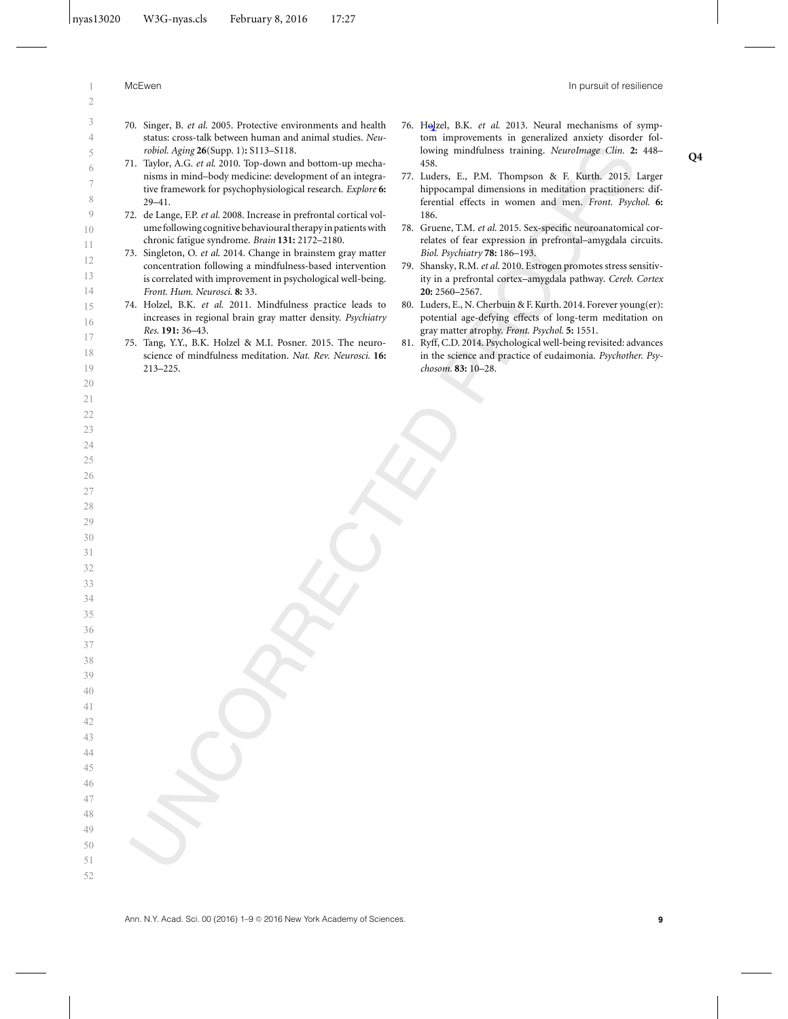1 2 3 4 5 6 7 8 9 10 11 12 13 14 15 16 17 18 19 20 21 22 23 24 25 26 27 28 29 30 31 32 33 34 35 36 37 38 39 40 41 42 43 44 45 46 47 48 49 50 51 52 McEwen **In pursuit of resilience In pursuit of resilience In pursuit of resilience** 70. Singer, B. *et al*. 2005. Protective environments and health status: cross-talk between human and animal studies. *Neurobiol. Aging* **26**(Supp. 1)**:** S113–S118. 71. Taylor, A.G. *et al*. 2010. Top-down and bottom-up mechanisms in mind–body medicine: development of an integrative framework for psychophysiological research. *Explore* **6:** 29–41. 72. de Lange, F.P. *et al*. 2008. Increase in prefrontal cortical volume following cognitive behavioural therapy in patients with chronic fatigue syndrome. *Brain* **131:** 2172–2180. 73. Singleton, O. *et al*. 2014. Change in brainstem gray matter concentration following a mindfulness-based intervention is correlated with improvement in psychological well-being. *Front. Hum. Neurosci.* **8:** 33. 74. Holzel, B.K. *et al*. 2011. Mindfulness practice leads to increases in regional brain gray matter density. *Psychiatry Res.* **191:** 36–43. 75. Tang, Y.Y., B.K. Holzel & M.I. Posner. 2015. The neuroscience of mindfulness meditation. *Nat. Rev. Neurosci.* **16:** 213–225. 76. Holzel, B.K. *et al*. 2013. Neural mechanisms of symptom improvements in generalized anxiety disorder following mindfulness training. *NeuroImage Clin.* **2:** 448– 458. **Q4** 77. Luders, E., P.M. Thompson & F. Kurth. 2015. Larger hippocampal dimensions in meditation practitioners: differential effects in women and men. *Front. Psychol.* **6:** 186. 78. Gruene, T.M. *et al*. 2015. Sex-specific neuroanatomical correlates of fear expression in prefrontal–amygdala circuits. *Biol. Psychiatry* **78:** 186–193. 79. Shansky, R.M.*et al*. 2010. Estrogen promotes stress sensitivity in a prefrontal cortex–amygdala pathway. *Cereb. Cortex* **20:** 2560–2567. 80. Luders, E., N. Cherbuin & F. Kurth. 2014. Forever young(er): potential age-defying effects of long-term meditation on gray matter atrophy. *Front. Psychol.* **5:** 1551. 81. Ryff, C.D. 2014. Psychological well-being revisited: advances in the science and practice of eudaimonia. *Psychother. Psychosom.* **83:** 10–28.